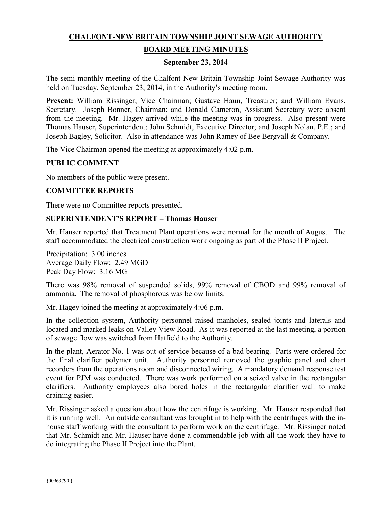# **CHALFONT-NEW BRITAIN TOWNSHIP JOINT SEWAGE AUTHORITY**

### **BOARD MEETING MINUTES**

#### **September 23, 2014**

The semi-monthly meeting of the Chalfont-New Britain Township Joint Sewage Authority was held on Tuesday, September 23, 2014, in the Authority's meeting room.

**Present:** William Rissinger, Vice Chairman; Gustave Haun, Treasurer; and William Evans, Secretary. Joseph Bonner, Chairman; and Donald Cameron, Assistant Secretary were absent from the meeting. Mr. Hagey arrived while the meeting was in progress. Also present were Thomas Hauser, Superintendent; John Schmidt, Executive Director; and Joseph Nolan, P.E.; and Joseph Bagley, Solicitor. Also in attendance was John Ramey of Bee Bergvall & Company.

The Vice Chairman opened the meeting at approximately 4:02 p.m.

### **PUBLIC COMMENT**

No members of the public were present.

#### **COMMITTEE REPORTS**

There were no Committee reports presented.

#### **SUPERINTENDENT'S REPORT – Thomas Hauser**

Mr. Hauser reported that Treatment Plant operations were normal for the month of August. The staff accommodated the electrical construction work ongoing as part of the Phase II Project.

Precipitation: 3.00 inches Average Daily Flow: 2.49 MGD Peak Day Flow: 3.16 MG

There was 98% removal of suspended solids, 99% removal of CBOD and 99% removal of ammonia. The removal of phosphorous was below limits.

Mr. Hagey joined the meeting at approximately 4:06 p.m.

In the collection system, Authority personnel raised manholes, sealed joints and laterals and located and marked leaks on Valley View Road. As it was reported at the last meeting, a portion of sewage flow was switched from Hatfield to the Authority.

In the plant, Aerator No. 1 was out of service because of a bad bearing. Parts were ordered for the final clarifier polymer unit. Authority personnel removed the graphic panel and chart recorders from the operations room and disconnected wiring. A mandatory demand response test event for PJM was conducted. There was work performed on a seized valve in the rectangular clarifiers. Authority employees also bored holes in the rectangular clarifier wall to make draining easier.

Mr. Rissinger asked a question about how the centrifuge is working. Mr. Hauser responded that it is running well. An outside consultant was brought in to help with the centrifuges with the inhouse staff working with the consultant to perform work on the centrifuge. Mr. Rissinger noted that Mr. Schmidt and Mr. Hauser have done a commendable job with all the work they have to do integrating the Phase II Project into the Plant.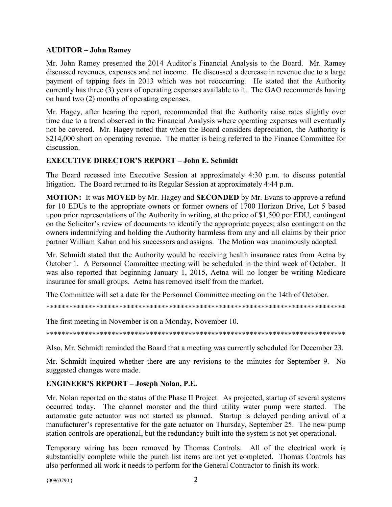### **AUDITOR – John Ramey**

Mr. John Ramey presented the 2014 Auditor's Financial Analysis to the Board. Mr. Ramey discussed revenues, expenses and net income. He discussed a decrease in revenue due to a large payment of tapping fees in 2013 which was not reoccurring. He stated that the Authority currently has three (3) years of operating expenses available to it. The GAO recommends having on hand two (2) months of operating expenses.

Mr. Hagey, after hearing the report, recommended that the Authority raise rates slightly over time due to a trend observed in the Financial Analysis where operating expenses will eventually not be covered. Mr. Hagey noted that when the Board considers depreciation, the Authority is \$214,000 short on operating revenue. The matter is being referred to the Finance Committee for discussion.

# **EXECUTIVE DIRECTOR'S REPORT – John E. Schmidt**

The Board recessed into Executive Session at approximately 4:30 p.m. to discuss potential litigation. The Board returned to its Regular Session at approximately 4:44 p.m.

**MOTION:** It was **MOVED** by Mr. Hagey and **SECONDED** by Mr. Evans to approve a refund for 10 EDUs to the appropriate owners or former owners of 1700 Horizon Drive, Lot 5 based upon prior representations of the Authority in writing, at the price of \$1,500 per EDU, contingent on the Solicitor's review of documents to identify the appropriate payees; also contingent on the owners indemnifying and holding the Authority harmless from any and all claims by their prior partner William Kahan and his successors and assigns. The Motion was unanimously adopted.

Mr. Schmidt stated that the Authority would be receiving health insurance rates from Aetna by October 1. A Personnel Committee meeting will be scheduled in the third week of October. It was also reported that beginning January 1, 2015, Aetna will no longer be writing Medicare insurance for small groups. Aetna has removed itself from the market.

The Committee will set a date for the Personnel Committee meeting on the 14th of October.

\*\*\*\*\*\*\*\*\*\*\*\*\*\*\*\*\*\*\*\*\*\*\*\*\*\*\*\*\*\*\*\*\*\*\*\*\*\*\*\*\*\*\*\*\*\*\*\*\*\*\*\*\*\*\*\*\*\*\*\*\*\*\*\*\*\*\*\*\*\*\*\*\*\*\*\*\*\*

The first meeting in November is on a Monday, November 10.

\*\*\*\*\*\*\*\*\*\*\*\*\*\*\*\*\*\*\*\*\*\*\*\*\*\*\*\*\*\*\*\*\*\*\*\*\*\*\*\*\*\*\*\*\*\*\*\*\*\*\*\*\*\*\*\*\*\*\*\*\*\*\*\*\*\*\*\*\*\*\*\*\*\*\*\*\*\*

Also, Mr. Schmidt reminded the Board that a meeting was currently scheduled for December 23.

Mr. Schmidt inquired whether there are any revisions to the minutes for September 9. No suggested changes were made.

# **ENGINEER'S REPORT – Joseph Nolan, P.E.**

Mr. Nolan reported on the status of the Phase II Project. As projected, startup of several systems occurred today. The channel monster and the third utility water pump were started. The automatic gate actuator was not started as planned. Startup is delayed pending arrival of a manufacturer's representative for the gate actuator on Thursday, September 25. The new pump station controls are operational, but the redundancy built into the system is not yet operational.

Temporary wiring has been removed by Thomas Controls. All of the electrical work is substantially complete while the punch list items are not yet completed. Thomas Controls has also performed all work it needs to perform for the General Contractor to finish its work.